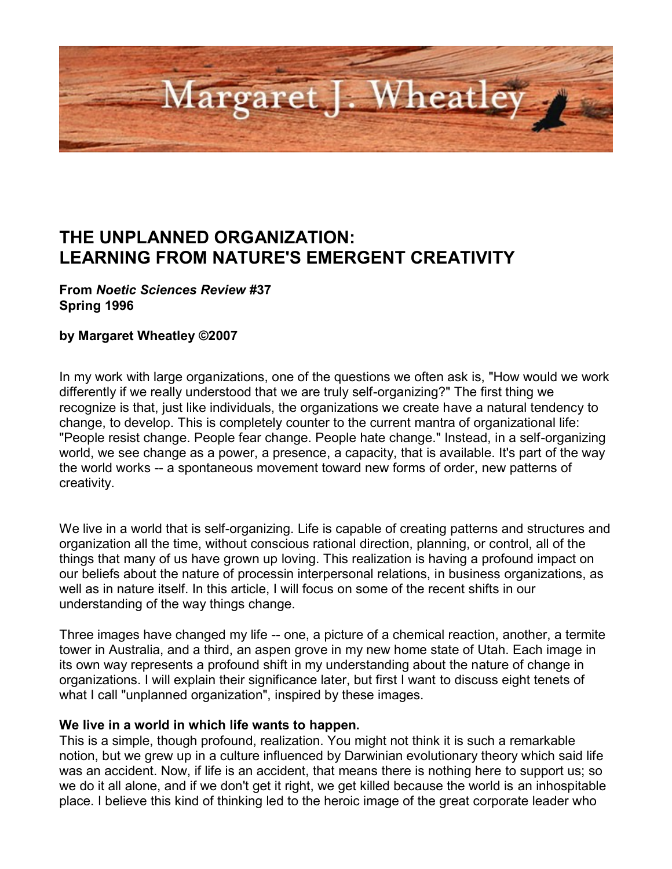

# **THE UNPLANNED ORGANIZATION: LEARNING FROM NATURE'S EMERGENT CREATIVITY**

#### **From** *Noetic Sciences Review* **#37 Spring 1996**

#### **by Margaret Wheatley ©2007**

In my work with large organizations, one of the questions we often ask is, "How would we work differently if we really understood that we are truly self-organizing?" The first thing we recognize is that, just like individuals, the organizations we create have a natural tendency to change, to develop. This is completely counter to the current mantra of organizational life: "People resist change. People fear change. People hate change." Instead, in a self-organizing world, we see change as a power, a presence, a capacity, that is available. It's part of the way the world works -- a spontaneous movement toward new forms of order, new patterns of creativity.

We live in a world that is self-organizing. Life is capable of creating patterns and structures and organization all the time, without conscious rational direction, planning, or control, all of the things that many of us have grown up loving. This realization is having a profound impact on our beliefs about the nature of processin interpersonal relations, in business organizations, as well as in nature itself. In this article, I will focus on some of the recent shifts in our understanding of the way things change.

Three images have changed my life -- one, a picture of a chemical reaction, another, a termite tower in Australia, and a third, an aspen grove in my new home state of Utah. Each image in its own way represents a profound shift in my understanding about the nature of change in organizations. I will explain their significance later, but first I want to discuss eight tenets of what I call "unplanned organization", inspired by these images.

#### **We live in a world in which life wants to happen.**

This is a simple, though profound, realization. You might not think it is such a remarkable notion, but we grew up in a culture influenced by Darwinian evolutionary theory which said life was an accident. Now, if life is an accident, that means there is nothing here to support us; so we do it all alone, and if we don't get it right, we get killed because the world is an inhospitable place. I believe this kind of thinking led to the heroic image of the great corporate leader who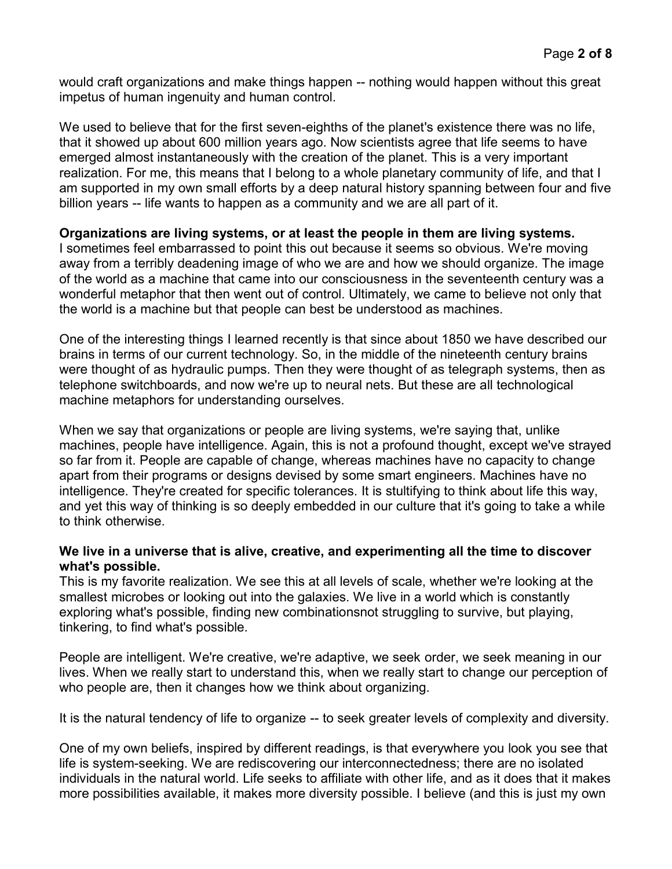would craft organizations and make things happen -- nothing would happen without this great impetus of human ingenuity and human control.

We used to believe that for the first seven-eighths of the planet's existence there was no life, that it showed up about 600 million years ago. Now scientists agree that life seems to have emerged almost instantaneously with the creation of the planet. This is a very important realization. For me, this means that I belong to a whole planetary community of life, and that I am supported in my own small efforts by a deep natural history spanning between four and five billion years -- life wants to happen as a community and we are all part of it.

#### **Organizations are living systems, or at least the people in them are living systems.**

I sometimes feel embarrassed to point this out because it seems so obvious. We're moving away from a terribly deadening image of who we are and how we should organize. The image of the world as a machine that came into our consciousness in the seventeenth century was a wonderful metaphor that then went out of control. Ultimately, we came to believe not only that the world is a machine but that people can best be understood as machines.

One of the interesting things I learned recently is that since about 1850 we have described our brains in terms of our current technology. So, in the middle of the nineteenth century brains were thought of as hydraulic pumps. Then they were thought of as telegraph systems, then as telephone switchboards, and now we're up to neural nets. But these are all technological machine metaphors for understanding ourselves.

When we say that organizations or people are living systems, we're saying that, unlike machines, people have intelligence. Again, this is not a profound thought, except we've strayed so far from it. People are capable of change, whereas machines have no capacity to change apart from their programs or designs devised by some smart engineers. Machines have no intelligence. They're created for specific tolerances. It is stultifying to think about life this way, and yet this way of thinking is so deeply embedded in our culture that it's going to take a while to think otherwise.

#### **We live in a universe that is alive, creative, and experimenting all the time to discover what's possible.**

This is my favorite realization. We see this at all levels of scale, whether we're looking at the smallest microbes or looking out into the galaxies. We live in a world which is constantly exploring what's possible, finding new combinationsnot struggling to survive, but playing, tinkering, to find what's possible.

People are intelligent. We're creative, we're adaptive, we seek order, we seek meaning in our lives. When we really start to understand this, when we really start to change our perception of who people are, then it changes how we think about organizing.

It is the natural tendency of life to organize -- to seek greater levels of complexity and diversity.

One of my own beliefs, inspired by different readings, is that everywhere you look you see that life is system-seeking. We are rediscovering our interconnectedness; there are no isolated individuals in the natural world. Life seeks to affiliate with other life, and as it does that it makes more possibilities available, it makes more diversity possible. I believe (and this is just my own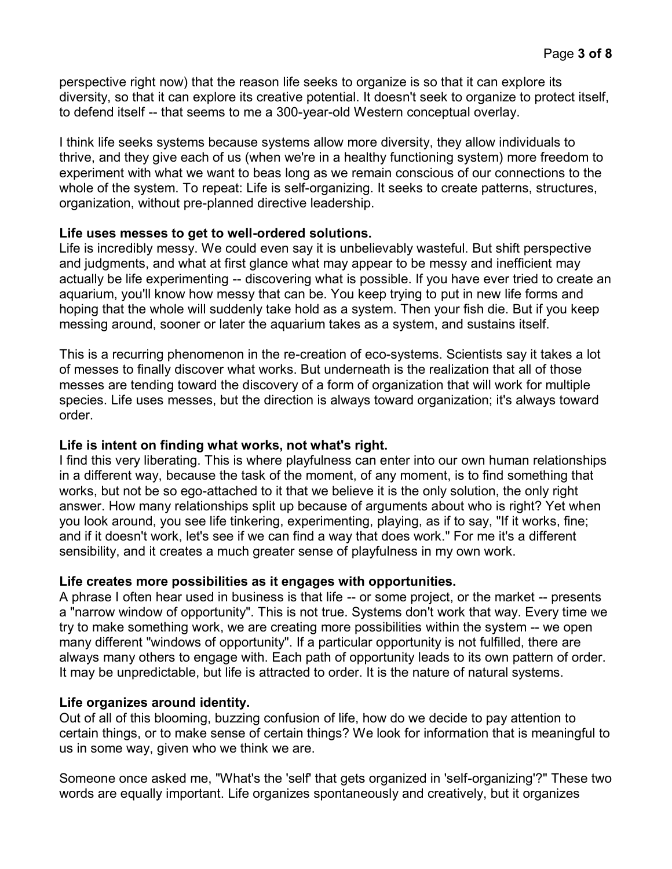perspective right now) that the reason life seeks to organize is so that it can explore its diversity, so that it can explore its creative potential. It doesn't seek to organize to protect itself, to defend itself -- that seems to me a 300-year-old Western conceptual overlay.

I think life seeks systems because systems allow more diversity, they allow individuals to thrive, and they give each of us (when we're in a healthy functioning system) more freedom to experiment with what we want to beas long as we remain conscious of our connections to the whole of the system. To repeat: Life is self-organizing. It seeks to create patterns, structures, organization, without pre-planned directive leadership.

## **Life uses messes to get to well-ordered solutions.**

Life is incredibly messy. We could even say it is unbelievably wasteful. But shift perspective and judgments, and what at first glance what may appear to be messy and inefficient may actually be life experimenting -- discovering what is possible. If you have ever tried to create an aquarium, you'll know how messy that can be. You keep trying to put in new life forms and hoping that the whole will suddenly take hold as a system. Then your fish die. But if you keep messing around, sooner or later the aquarium takes as a system, and sustains itself.

This is a recurring phenomenon in the re-creation of eco-systems. Scientists say it takes a lot of messes to finally discover what works. But underneath is the realization that all of those messes are tending toward the discovery of a form of organization that will work for multiple species. Life uses messes, but the direction is always toward organization; it's always toward order.

#### **Life is intent on finding what works, not what's right.**

I find this very liberating. This is where playfulness can enter into our own human relationships in a different way, because the task of the moment, of any moment, is to find something that works, but not be so ego-attached to it that we believe it is the only solution, the only right answer. How many relationships split up because of arguments about who is right? Yet when you look around, you see life tinkering, experimenting, playing, as if to say, "If it works, fine; and if it doesn't work, let's see if we can find a way that does work." For me it's a different sensibility, and it creates a much greater sense of playfulness in my own work.

#### **Life creates more possibilities as it engages with opportunities.**

A phrase I often hear used in business is that life -- or some project, or the market -- presents a "narrow window of opportunity". This is not true. Systems don't work that way. Every time we try to make something work, we are creating more possibilities within the system -- we open many different "windows of opportunity". If a particular opportunity is not fulfilled, there are always many others to engage with. Each path of opportunity leads to its own pattern of order. It may be unpredictable, but life is attracted to order. It is the nature of natural systems.

# **Life organizes around identity.**

Out of all of this blooming, buzzing confusion of life, how do we decide to pay attention to certain things, or to make sense of certain things? We look for information that is meaningful to us in some way, given who we think we are.

Someone once asked me, "What's the 'self' that gets organized in 'self-organizing'?" These two words are equally important. Life organizes spontaneously and creatively, but it organizes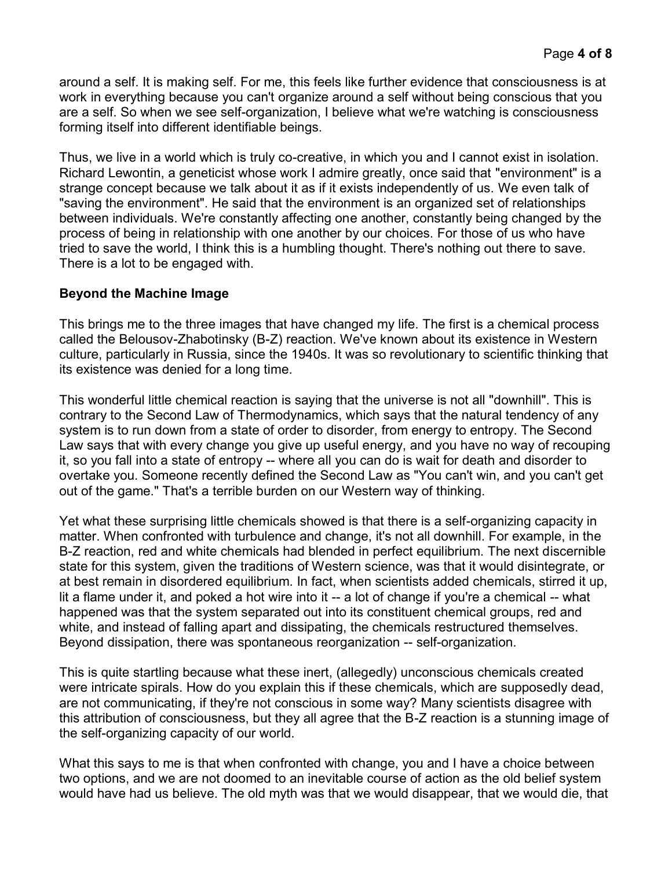around a self. It is making self. For me, this feels like further evidence that consciousness is at work in everything because you can't organize around a self without being conscious that you are a self. So when we see self-organization, I believe what we're watching is consciousness forming itself into different identifiable beings.

Thus, we live in a world which is truly co-creative, in which you and I cannot exist in isolation. Richard Lewontin, a geneticist whose work I admire greatly, once said that "environment" is a strange concept because we talk about it as if it exists independently of us. We even talk of "saving the environment". He said that the environment is an organized set of relationships between individuals. We're constantly affecting one another, constantly being changed by the process of being in relationship with one another by our choices. For those of us who have tried to save the world, I think this is a humbling thought. There's nothing out there to save. There is a lot to be engaged with.

## **Beyond the Machine Image**

This brings me to the three images that have changed my life. The first is a chemical process called the Belousov-Zhabotinsky (B-Z) reaction. We've known about its existence in Western culture, particularly in Russia, since the 1940s. It was so revolutionary to scientific thinking that its existence was denied for a long time.

This wonderful little chemical reaction is saying that the universe is not all "downhill". This is contrary to the Second Law of Thermodynamics, which says that the natural tendency of any system is to run down from a state of order to disorder, from energy to entropy. The Second Law says that with every change you give up useful energy, and you have no way of recouping it, so you fall into a state of entropy -- where all you can do is wait for death and disorder to overtake you. Someone recently defined the Second Law as "You can't win, and you can't get out of the game." That's a terrible burden on our Western way of thinking.

Yet what these surprising little chemicals showed is that there is a self-organizing capacity in matter. When confronted with turbulence and change, it's not all downhill. For example, in the B-Z reaction, red and white chemicals had blended in perfect equilibrium. The next discernible state for this system, given the traditions of Western science, was that it would disintegrate, or at best remain in disordered equilibrium. In fact, when scientists added chemicals, stirred it up, lit a flame under it, and poked a hot wire into it -- a lot of change if you're a chemical -- what happened was that the system separated out into its constituent chemical groups, red and white, and instead of falling apart and dissipating, the chemicals restructured themselves. Beyond dissipation, there was spontaneous reorganization -- self-organization.

This is quite startling because what these inert, (allegedly) unconscious chemicals created were intricate spirals. How do you explain this if these chemicals, which are supposedly dead, are not communicating, if they're not conscious in some way? Many scientists disagree with this attribution of consciousness, but they all agree that the B-Z reaction is a stunning image of the self-organizing capacity of our world.

What this says to me is that when confronted with change, you and I have a choice between two options, and we are not doomed to an inevitable course of action as the old belief system would have had us believe. The old myth was that we would disappear, that we would die, that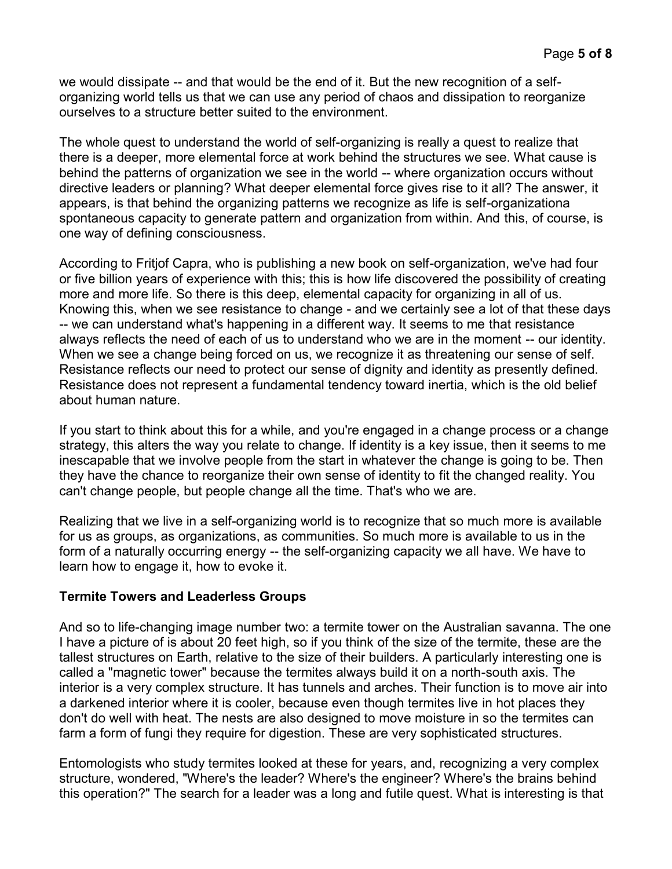we would dissipate -- and that would be the end of it. But the new recognition of a selforganizing world tells us that we can use any period of chaos and dissipation to reorganize ourselves to a structure better suited to the environment.

The whole quest to understand the world of self-organizing is really a quest to realize that there is a deeper, more elemental force at work behind the structures we see. What cause is behind the patterns of organization we see in the world -- where organization occurs without directive leaders or planning? What deeper elemental force gives rise to it all? The answer, it appears, is that behind the organizing patterns we recognize as life is self-organizationa spontaneous capacity to generate pattern and organization from within. And this, of course, is one way of defining consciousness.

According to Fritjof Capra, who is publishing a new book on self-organization, we've had four or five billion years of experience with this; this is how life discovered the possibility of creating more and more life. So there is this deep, elemental capacity for organizing in all of us. Knowing this, when we see resistance to change - and we certainly see a lot of that these days -- we can understand what's happening in a different way. It seems to me that resistance always reflects the need of each of us to understand who we are in the moment -- our identity. When we see a change being forced on us, we recognize it as threatening our sense of self. Resistance reflects our need to protect our sense of dignity and identity as presently defined. Resistance does not represent a fundamental tendency toward inertia, which is the old belief about human nature.

If you start to think about this for a while, and you're engaged in a change process or a change strategy, this alters the way you relate to change. If identity is a key issue, then it seems to me inescapable that we involve people from the start in whatever the change is going to be. Then they have the chance to reorganize their own sense of identity to fit the changed reality. You can't change people, but people change all the time. That's who we are.

Realizing that we live in a self-organizing world is to recognize that so much more is available for us as groups, as organizations, as communities. So much more is available to us in the form of a naturally occurring energy -- the self-organizing capacity we all have. We have to learn how to engage it, how to evoke it.

# **Termite Towers and Leaderless Groups**

And so to life-changing image number two: a termite tower on the Australian savanna. The one I have a picture of is about 20 feet high, so if you think of the size of the termite, these are the tallest structures on Earth, relative to the size of their builders. A particularly interesting one is called a "magnetic tower" because the termites always build it on a north-south axis. The interior is a very complex structure. It has tunnels and arches. Their function is to move air into a darkened interior where it is cooler, because even though termites live in hot places they don't do well with heat. The nests are also designed to move moisture in so the termites can farm a form of fungi they require for digestion. These are very sophisticated structures.

Entomologists who study termites looked at these for years, and, recognizing a very complex structure, wondered, "Where's the leader? Where's the engineer? Where's the brains behind this operation?" The search for a leader was a long and futile quest. What is interesting is that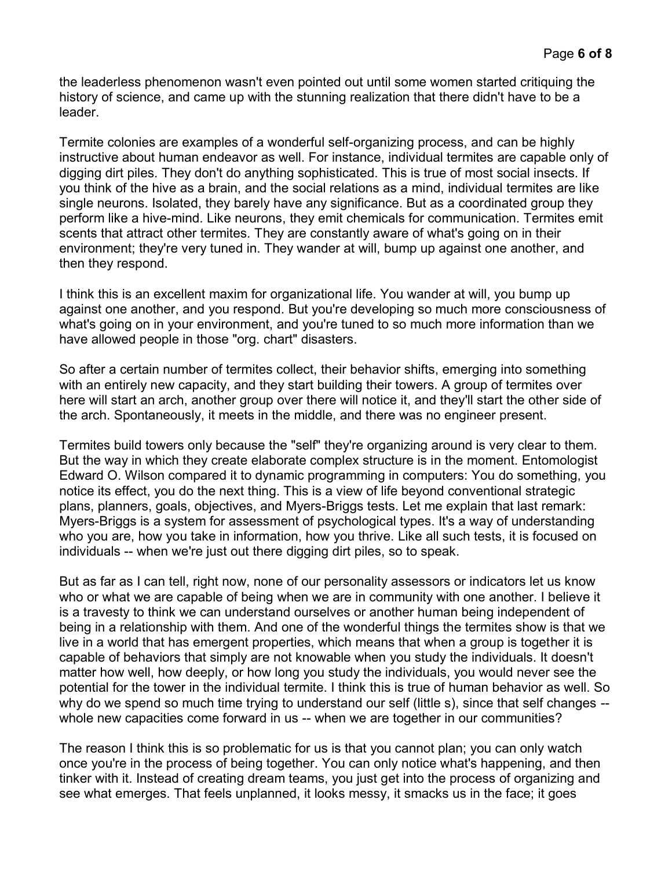the leaderless phenomenon wasn't even pointed out until some women started critiquing the history of science, and came up with the stunning realization that there didn't have to be a leader.

Termite colonies are examples of a wonderful self-organizing process, and can be highly instructive about human endeavor as well. For instance, individual termites are capable only of digging dirt piles. They don't do anything sophisticated. This is true of most social insects. If you think of the hive as a brain, and the social relations as a mind, individual termites are like single neurons. Isolated, they barely have any significance. But as a coordinated group they perform like a hive-mind. Like neurons, they emit chemicals for communication. Termites emit scents that attract other termites. They are constantly aware of what's going on in their environment; they're very tuned in. They wander at will, bump up against one another, and then they respond.

I think this is an excellent maxim for organizational life. You wander at will, you bump up against one another, and you respond. But you're developing so much more consciousness of what's going on in your environment, and you're tuned to so much more information than we have allowed people in those "org. chart" disasters.

So after a certain number of termites collect, their behavior shifts, emerging into something with an entirely new capacity, and they start building their towers. A group of termites over here will start an arch, another group over there will notice it, and they'll start the other side of the arch. Spontaneously, it meets in the middle, and there was no engineer present.

Termites build towers only because the "self" they're organizing around is very clear to them. But the way in which they create elaborate complex structure is in the moment. Entomologist Edward O. Wilson compared it to dynamic programming in computers: You do something, you notice its effect, you do the next thing. This is a view of life beyond conventional strategic plans, planners, goals, objectives, and Myers-Briggs tests. Let me explain that last remark: Myers-Briggs is a system for assessment of psychological types. It's a way of understanding who you are, how you take in information, how you thrive. Like all such tests, it is focused on individuals -- when we're just out there digging dirt piles, so to speak.

But as far as I can tell, right now, none of our personality assessors or indicators let us know who or what we are capable of being when we are in community with one another. I believe it is a travesty to think we can understand ourselves or another human being independent of being in a relationship with them. And one of the wonderful things the termites show is that we live in a world that has emergent properties, which means that when a group is together it is capable of behaviors that simply are not knowable when you study the individuals. It doesn't matter how well, how deeply, or how long you study the individuals, you would never see the potential for the tower in the individual termite. I think this is true of human behavior as well. So why do we spend so much time trying to understand our self (little s), since that self changes -whole new capacities come forward in us -- when we are together in our communities?

The reason I think this is so problematic for us is that you cannot plan; you can only watch once you're in the process of being together. You can only notice what's happening, and then tinker with it. Instead of creating dream teams, you just get into the process of organizing and see what emerges. That feels unplanned, it looks messy, it smacks us in the face; it goes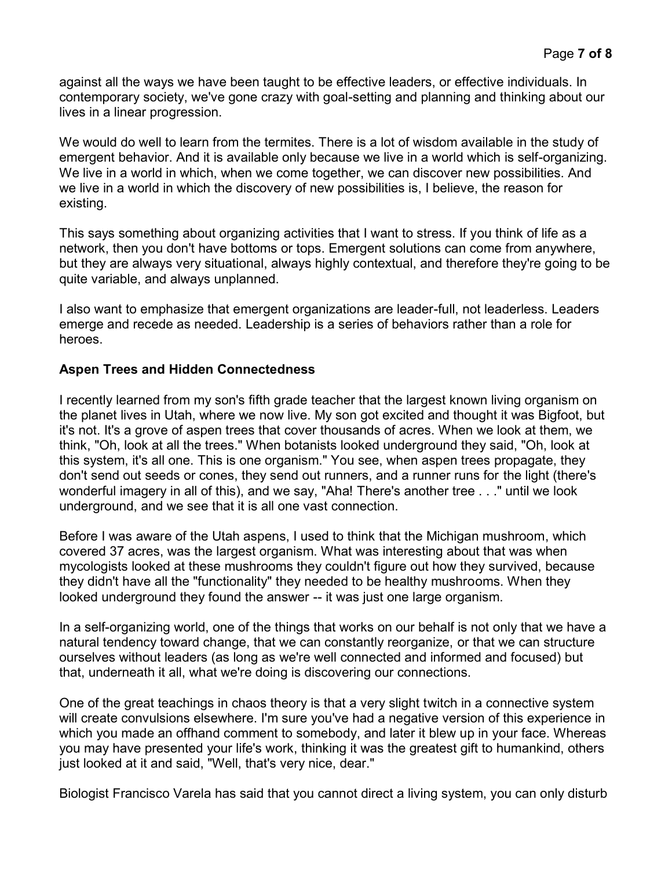against all the ways we have been taught to be effective leaders, or effective individuals. In contemporary society, we've gone crazy with goal-setting and planning and thinking about our lives in a linear progression.

We would do well to learn from the termites. There is a lot of wisdom available in the study of emergent behavior. And it is available only because we live in a world which is self-organizing. We live in a world in which, when we come together, we can discover new possibilities. And we live in a world in which the discovery of new possibilities is, I believe, the reason for existing.

This says something about organizing activities that I want to stress. If you think of life as a network, then you don't have bottoms or tops. Emergent solutions can come from anywhere, but they are always very situational, always highly contextual, and therefore they're going to be quite variable, and always unplanned.

I also want to emphasize that emergent organizations are leader-full, not leaderless. Leaders emerge and recede as needed. Leadership is a series of behaviors rather than a role for heroes.

## **Aspen Trees and Hidden Connectedness**

I recently learned from my son's fifth grade teacher that the largest known living organism on the planet lives in Utah, where we now live. My son got excited and thought it was Bigfoot, but it's not. It's a grove of aspen trees that cover thousands of acres. When we look at them, we think, "Oh, look at all the trees." When botanists looked underground they said, "Oh, look at this system, it's all one. This is one organism." You see, when aspen trees propagate, they don't send out seeds or cones, they send out runners, and a runner runs for the light (there's wonderful imagery in all of this), and we say, "Aha! There's another tree . . ." until we look underground, and we see that it is all one vast connection.

Before I was aware of the Utah aspens, I used to think that the Michigan mushroom, which covered 37 acres, was the largest organism. What was interesting about that was when mycologists looked at these mushrooms they couldn't figure out how they survived, because they didn't have all the "functionality" they needed to be healthy mushrooms. When they looked underground they found the answer -- it was just one large organism.

In a self-organizing world, one of the things that works on our behalf is not only that we have a natural tendency toward change, that we can constantly reorganize, or that we can structure ourselves without leaders (as long as we're well connected and informed and focused) but that, underneath it all, what we're doing is discovering our connections.

One of the great teachings in chaos theory is that a very slight twitch in a connective system will create convulsions elsewhere. I'm sure you've had a negative version of this experience in which you made an offhand comment to somebody, and later it blew up in your face. Whereas you may have presented your life's work, thinking it was the greatest gift to humankind, others just looked at it and said, "Well, that's very nice, dear."

Biologist Francisco Varela has said that you cannot direct a living system, you can only disturb